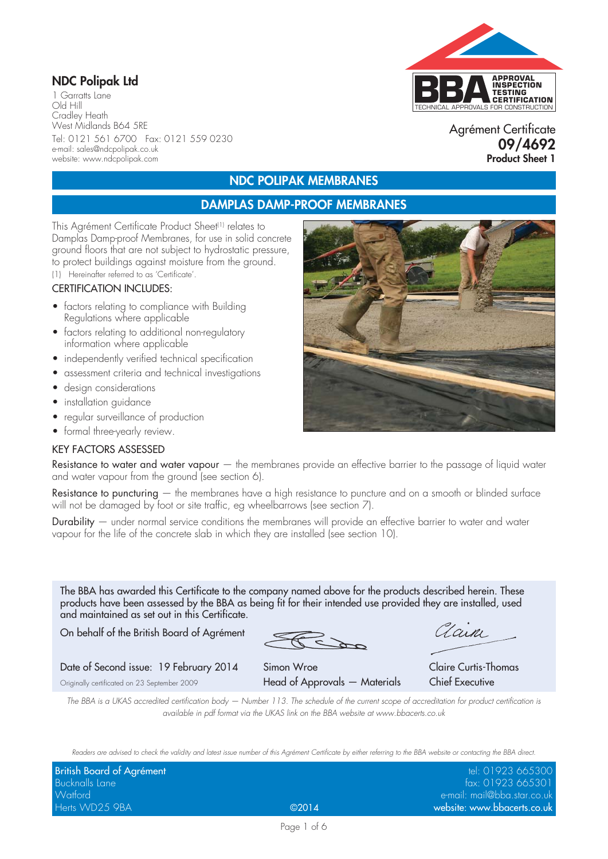## **NDC Polipak Ltd**

1 Garratts Lane Old Hill Cradley Heath West Midlands B64 5RE Tel: 0121 561 6700 Fax: 0121 559 0230 e-mail: sales@ndcpolipak.co.uk website: www.ndcpolipak.com

# TECHNICAL APPROVALS FOR CONSTRUCTION **APPROVAL INSPECTION TESTING CERTIFICATION**

#### Agrément Certificate **09/4692 Product Sheet 1**

## **NDC POLIPAK MEMBRANES**

### **DAMPLAS DAMP-PROOF MEMBRANES**

This Agrément Certificate Product Sheet<sup>(1)</sup> relates to Damplas Damp-proof Membranes, for use in solid concrete ground floors that are not subject to hydrostatic pressure, to protect buildings against moisture from the ground.

(1) Hereinafter referred to as 'Certificate'.

#### CERTIFICATION INCLUDES:

- factors relating to compliance with Building Regulations where applicable
- factors relating to additional non-regulatory information where applicable
- independently verified technical specification
- assessment criteria and technical investigations
- design considerations
- installation guidance
- regular surveillance of production
- formal three-yearly review.

#### KEY FACTORS ASSESSED

Resistance to water and water vapour  $-$  the membranes provide an effective barrier to the passage of liquid water and water vapour from the ground (see section 6).

Resistance to puncturing  $-$  the membranes have a high resistance to puncture and on a smooth or blinded surface will not be damaged by foot or site traffic, eg wheelbarrows (see section 7).

Durability — under normal service conditions the membranes will provide an effective barrier to water and water vapour for the life of the concrete slab in which they are installed (see section 10).

The BBA has awarded this Certificate to the company named above for the products described herein. These products have been assessed by the BBA as being fit for their intended use provided they are installed, used and maintained as set out in this Certificate.

On behalf of the British Board of Agrément

Clain

Date of Second issue: 19 February 2014 Simon Wroe Claire Curtis-Thomas

Originally certificated on 23 September 2009 Head of Approvals — Materials Chief Executive

*The BBA is a UKAS accredited certification body — Number 113. The schedule of the current scope of accreditation for product certification is available in pdf format via the UKAS link on the BBA website at www.bbacerts.co.uk*

*Readers are advised to check the validity and latest issue number of this Agrément Certificate by either referring to the BBA website or contacting the BBA direct.*

| British Board of Agrément |       | tel: 01923 665300           |
|---------------------------|-------|-----------------------------|
| <b>Bucknalls Lane</b>     |       | fax: 01923 665301           |
| Watford                   |       | e-mail: mail@bba.star.co.uk |
| Herts WD25 9BA            | @2014 | website: www.bbacerts.co.uk |

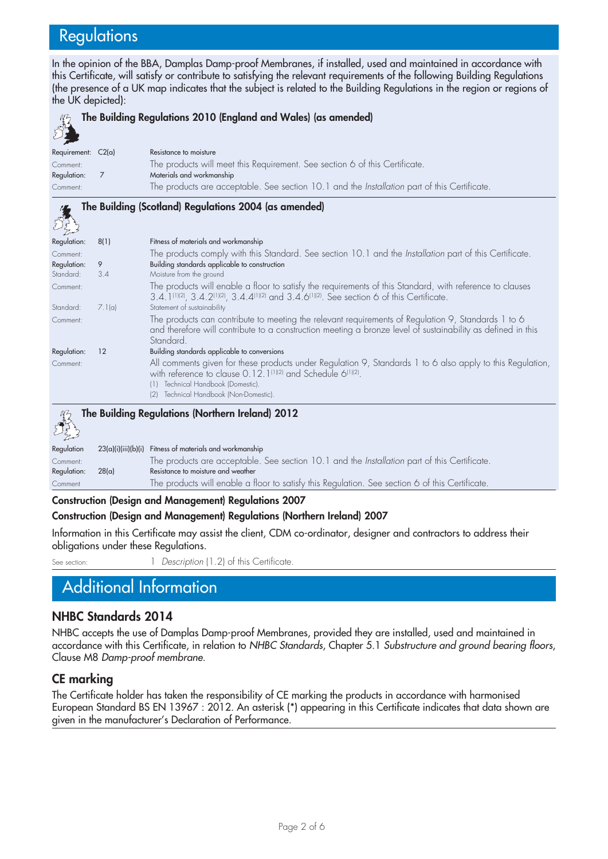# **Regulations**

In the opinion of the BBA, Damplas Damp-proof Membranes, if installed, used and maintained in accordance with this Certificate, will satisfy or contribute to satisfying the relevant requirements of the following Building Regulations (the presence of a UK map indicates that the subject is related to the Building Regulations in the region or regions of the UK depicted):



| $\sum_{i=1}^{n} \sum_{j=1}^{n} \sum_{j=1}^{n}$ |       |                                                                                                 |
|------------------------------------------------|-------|-------------------------------------------------------------------------------------------------|
| Regulation                                     |       | 23(a)(i)(iii)(b)(i) Fitness of materials and workmanship                                        |
| Comment:                                       |       | The products are acceptable. See section 10.1 and the Installation part of this Certificate.    |
| Regulation:                                    | 28(a) | Resistance to moisture and weather                                                              |
| Comment                                        |       | The products will enable a floor to satisfy this Regulation. See section 6 of this Certificate. |

#### **Construction (Design and Management) Regulations 2007**

#### **Construction (Design and Management) Regulations (Northern Ireland) 2007**

Information in this Certificate may assist the client, CDM co-ordinator, designer and contractors to address their obligations under these Regulations.

See section: 1 *Description* (1.2) of this Certificate

# Additional Information

#### **NHBC Standards 2014**

NHBC accepts the use of Damplas Damp-proof Membranes, provided they are installed, used and maintained in accordance with this Certificate, in relation to *NHBC Standards*, Chapter 5.1 *Substructure and ground bearing floors*, Clause M8 *Damp-proof membrane.*

#### **CE marking**

The Certificate holder has taken the responsibility of CE marking the products in accordance with harmonised European Standard BS EN 13967 : 2012. An asterisk (\*) appearing in this Certificate indicates that data shown are given in the manufacturer's Declaration of Performance.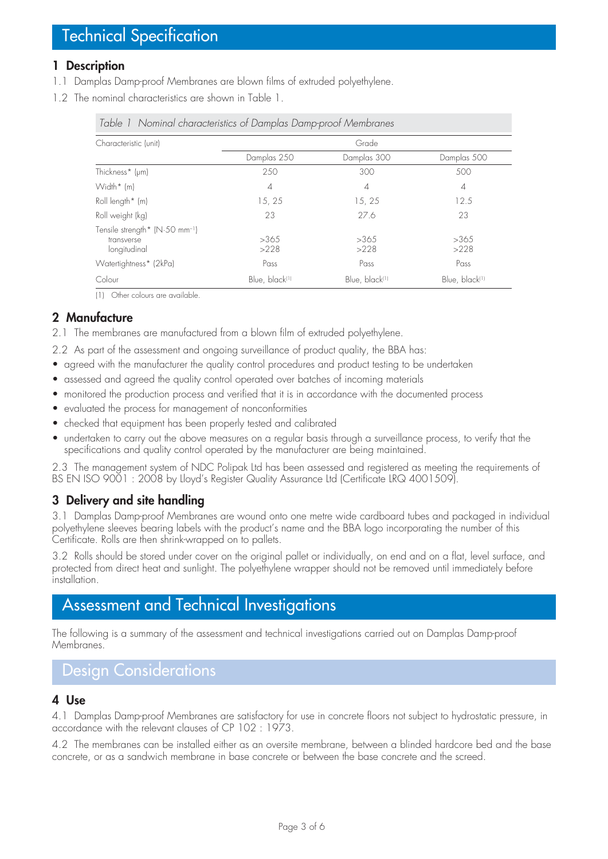### **1 Description**

- 1.1 Damplas Damp-proof Membranes are blown films of extruded polyethylene.
- 1.2 The nominal characteristics are shown in Table 1.

| Characteristic (unit)                                                    | Grade                      |                            |                |
|--------------------------------------------------------------------------|----------------------------|----------------------------|----------------|
|                                                                          | Damplas 250                | Damplas 300                | Damplas 500    |
| Thickness* (µm)                                                          | 250                        | 300                        | 500            |
| Width* (m)                                                               | $\overline{4}$             | $\overline{4}$             | $\overline{4}$ |
| Roll length $*$ (m)                                                      | 15, 25                     | 15, 25                     | 12.5           |
| Roll weight (kg)                                                         | 23                         | 27.6                       | 23             |
| Tensile strength* (N.50 mm <sup>-1</sup> )<br>transverse<br>longitudinal | >365<br>>228               | >365<br>>228               | >365<br>>228   |
| Watertightness* (2kPa)                                                   | Pass                       | Pass                       | Pass           |
| Colour                                                                   | Blue, black <sup>(1)</sup> | Blue, black <sup>(1)</sup> | Blue, black(1) |

*Table 1 Nominal characteristics of Damplas Damp-proof Membranes*

(1) Other colours are available.

## **2 Manufacture**

- 2.1 The membranes are manufactured from a blown film of extruded polyethylene.
- 2.2 As part of the assessment and ongoing surveillance of product quality, the BBA has:
- agreed with the manufacturer the quality control procedures and product testing to be undertaken
- assessed and agreed the quality control operated over batches of incoming materials
- monitored the production process and verified that it is in accordance with the documented process
- evaluated the process for management of nonconformities
- checked that equipment has been properly tested and calibrated
- undertaken to carry out the above measures on a regular basis through a surveillance process, to verify that the specifications and quality control operated by the manufacturer are being maintained.

2.3 The management system of NDC Polipak Ltd has been assessed and registered as meeting the requirements of BS EN ISO 9001 : 2008 by Lloyd's Register Quality Assurance Ltd (Certificate LRQ 4001509).

## **3 Delivery and site handling**

3.1 Damplas Damp-proof Membranes are wound onto one metre wide cardboard tubes and packaged in individual polyethylene sleeves bearing labels with the product's name and the BBA logo incorporating the number of this Certificate. Rolls are then shrink-wrapped on to pallets.

3.2 Rolls should be stored under cover on the original pallet or individually, on end and on a flat, level surface, and protected from direct heat and sunlight. The polyethylene wrapper should not be removed until immediately before installation.

# Assessment and Technical Investigations

The following is a summary of the assessment and technical investigations carried out on Damplas Damp-proof Membranes.

# Design Considerations

### **4 Use**

4.1 Damplas Damp-proof Membranes are satisfactory for use in concrete floors not subject to hydrostatic pressure, in accordance with the relevant clauses of CP 102 : 1973.

4.2 The membranes can be installed either as an oversite membrane, between a blinded hardcore bed and the base concrete, or as a sandwich membrane in base concrete or between the base concrete and the screed.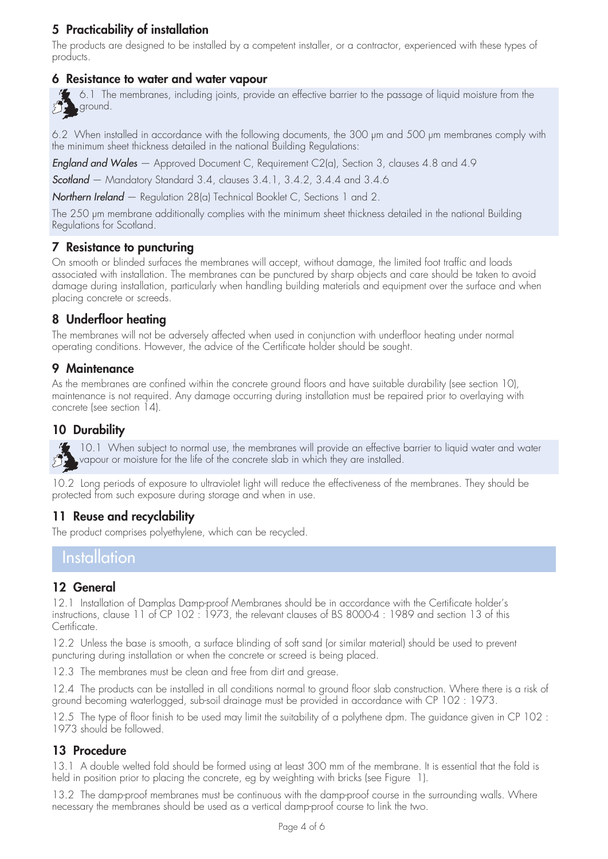# **5 Practicability of installation**

The products are designed to be installed by a competent installer, or a contractor, experienced with these types of products.

#### **6 Resistance to water and water vapour**

6.1 The membranes, including joints, provide an effective barrier to the passage of liquid moisture from the ground. 37

6.2 When installed in accordance with the following documents, the 300 µm and 500 µm membranes comply with the minimum sheet thickness detailed in the national Building Regulations:

*England and Wales* — Approved Document C, Requirement C2(a), Section 3, clauses 4.8 and 4.9

*Scotland* — Mandatory Standard 3.4, clauses 3.4.1, 3.4.2, 3.4.4 and 3.4.6

*Northern Ireland* — Regulation 28(a) Technical Booklet C, Sections 1 and 2.

The 250 µm membrane additionally complies with the minimum sheet thickness detailed in the national Building Regulations for Scotland.

#### **7 Resistance to puncturing**

On smooth or blinded surfaces the membranes will accept, without damage, the limited foot traffic and loads associated with installation. The membranes can be punctured by sharp objects and care should be taken to avoid damage during installation, particularly when handling building materials and equipment over the surface and when placing concrete or screeds.

## **8 Underfloor heating**

The membranes will not be adversely affected when used in conjunction with underfloor heating under normal operating conditions. However, the advice of the Certificate holder should be sought.

### **9 Maintenance**

As the membranes are confined within the concrete ground floors and have suitable durability (see section 10), maintenance is not required. Any damage occurring during installation must be repaired prior to overlaying with concrete (see section 14).

### **10 Durability**

51

10.1 When subject to normal use, the membranes will provide an effective barrier to liquid water and water vapour or moisture for the life of the concrete slab in which they are installed.

10.2 Long periods of exposure to ultraviolet light will reduce the effectiveness of the membranes. They should be protected from such exposure during storage and when in use.

### **11 Reuse and recyclability**

The product comprises polyethylene, which can be recycled.

## **Installation**

#### **12 General**

12.1 Installation of Damplas Damp-proof Membranes should be in accordance with the Certificate holder's instructions, clause 11 of CP 102 : 1973, the relevant clauses of BS 8000-4 : 1989 and section 13 of this Certificate.

12.2 Unless the base is smooth, a surface blinding of soft sand (or similar material) should be used to prevent puncturing during installation or when the concrete or screed is being placed.

12.3 The membranes must be clean and free from dirt and grease.

12.4 The products can be installed in all conditions normal to ground floor slab construction. Where there is a risk of ground becoming waterlogged, sub-soil drainage must be provided in accordance with CP 102 : 1973.

12.5 The type of floor finish to be used may limit the suitability of a polythene dpm. The guidance given in CP 102 : 1973 should be followed.

### **13 Procedure**

13.1 A double welted fold should be formed using at least 300 mm of the membrane. It is essential that the fold is held in position prior to placing the concrete, eg by weighting with bricks (see Figure 1).

13.2 The damp-proof membranes must be continuous with the damp-proof course in the surrounding walls. Where necessary the membranes should be used as a vertical damp-proof course to link the two.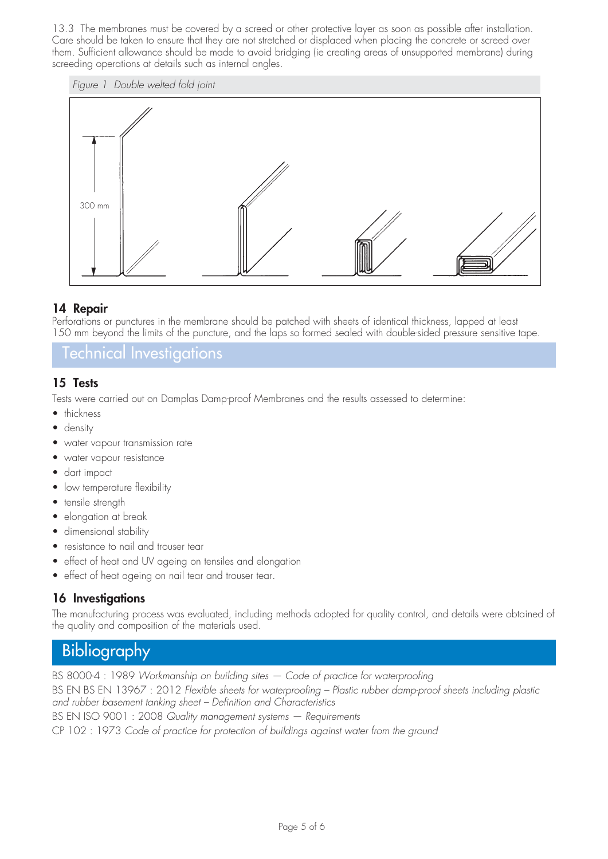13.3 The membranes must be covered by a screed or other protective layer as soon as possible after installation. Care should be taken to ensure that they are not stretched or displaced when placing the concrete or screed over them. Sufficient allowance should be made to avoid bridging (ie creating areas of unsupported membrane) during screeding operations at details such as internal angles.





#### **14 Repair**

Perforations or punctures in the membrane should be patched with sheets of identical thickness, lapped at least 150 mm beyond the limits of the puncture, and the laps so formed sealed with double-sided pressure sensitive tape.

Technical Investigations

## **15 Tests**

Tests were carried out on Damplas Damp-proof Membranes and the results assessed to determine:

- thickness
- density
- water vapour transmission rate
- water vapour resistance
- dart impact
- low temperature flexibility
- tensile strength
- elongation at break
- dimensional stability
- resistance to nail and trouser tear
- effect of heat and UV ageing on tensiles and elongation
- effect of heat ageing on nail tear and trouser tear.

## **16 Investigations**

The manufacturing process was evaluated, including methods adopted for quality control, and details were obtained of the quality and composition of the materials used.

# **Bibliography**

BS 8000-4 : 1989 *Workmanship on building sites — Code of practice for waterproofing* BS EN BS EN 13967 : 2012 *Flexible sheets for waterproofing – Plastic rubber damp-proof sheets including plastic and rubber basement tanking sheet – Definition and Characteristics* BS EN ISO 9001 : 2008 *Quality management systems — Requirements* CP 102 : 1973 *Code of practice for protection of buildings against water from the ground*